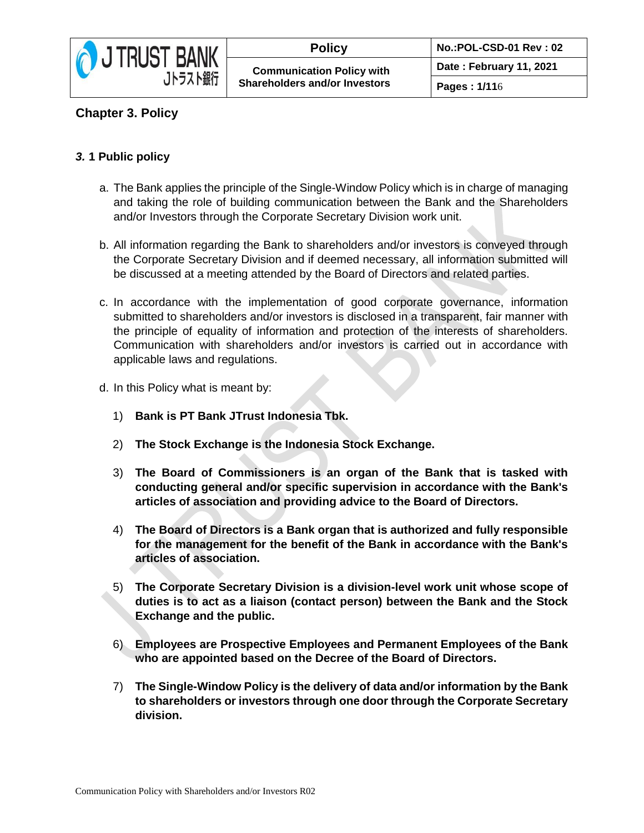

## **Chapter 3. Policy**

## *3.* **1 Public policy**

- a. The Bank applies the principle of the Single-Window Policy which is in charge of managing and taking the role of building communication between the Bank and the Shareholders and/or Investors through the Corporate Secretary Division work unit.
- b. All information regarding the Bank to shareholders and/or investors is conveyed through the Corporate Secretary Division and if deemed necessary, all information submitted will be discussed at a meeting attended by the Board of Directors and related parties.
- c. In accordance with the implementation of good corporate governance, information submitted to shareholders and/or investors is disclosed in a transparent, fair manner with the principle of equality of information and protection of the interests of shareholders. Communication with shareholders and/or investors is carried out in accordance with applicable laws and regulations.
- d. In this Policy what is meant by:
	- 1) **Bank is PT Bank JTrust Indonesia Tbk.**
	- 2) **The Stock Exchange is the Indonesia Stock Exchange.**
	- 3) **The Board of Commissioners is an organ of the Bank that is tasked with conducting general and/or specific supervision in accordance with the Bank's articles of association and providing advice to the Board of Directors.**
	- 4) **The Board of Directors is a Bank organ that is authorized and fully responsible for the management for the benefit of the Bank in accordance with the Bank's articles of association.**
	- 5) **The Corporate Secretary Division is a division-level work unit whose scope of duties is to act as a liaison (contact person) between the Bank and the Stock Exchange and the public.**
	- 6) **Employees are Prospective Employees and Permanent Employees of the Bank who are appointed based on the Decree of the Board of Directors.**
	- 7) **The Single-Window Policy is the delivery of data and/or information by the Bank to shareholders or investors through one door through the Corporate Secretary division.**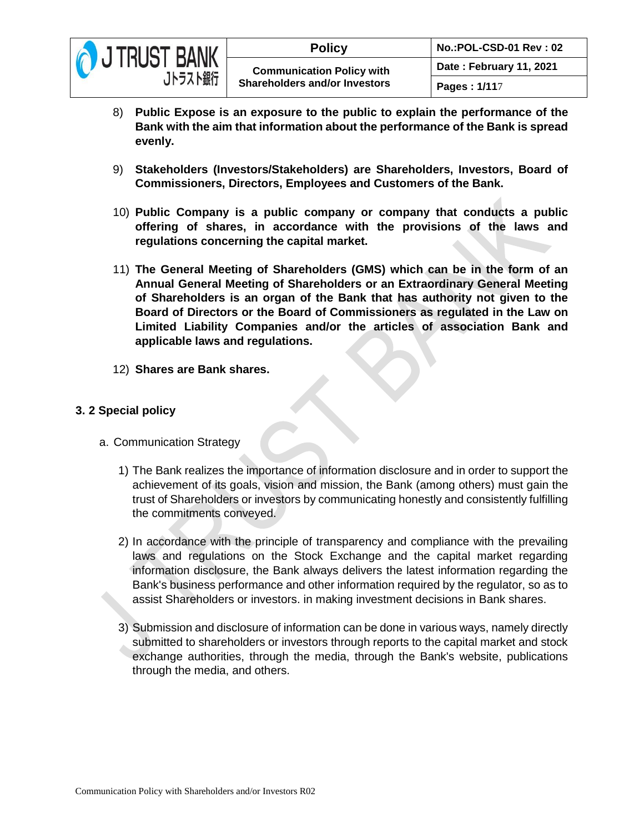

- 8) **Public Expose is an exposure to the public to explain the performance of the Bank with the aim that information about the performance of the Bank is spread evenly.**
- 9) **Stakeholders (Investors/Stakeholders) are Shareholders, Investors, Board of Commissioners, Directors, Employees and Customers of the Bank.**
- 10) **Public Company is a public company or company that conducts a public offering of shares, in accordance with the provisions of the laws and regulations concerning the capital market.**
- 11) **The General Meeting of Shareholders (GMS) which can be in the form of an Annual General Meeting of Shareholders or an Extraordinary General Meeting of Shareholders is an organ of the Bank that has authority not given to the Board of Directors or the Board of Commissioners as regulated in the Law on Limited Liability Companies and/or the articles of association Bank and applicable laws and regulations.**
- 12) **Shares are Bank shares.**

## **3. 2 Special policy**

- a. Communication Strategy
	- 1) The Bank realizes the importance of information disclosure and in order to support the achievement of its goals, vision and mission, the Bank (among others) must gain the trust of Shareholders or investors by communicating honestly and consistently fulfilling the commitments conveyed.
	- 2) In accordance with the principle of transparency and compliance with the prevailing laws and regulations on the Stock Exchange and the capital market regarding information disclosure, the Bank always delivers the latest information regarding the Bank's business performance and other information required by the regulator, so as to assist Shareholders or investors. in making investment decisions in Bank shares.
	- 3) Submission and disclosure of information can be done in various ways, namely directly submitted to shareholders or investors through reports to the capital market and stock exchange authorities, through the media, through the Bank's website, publications through the media, and others.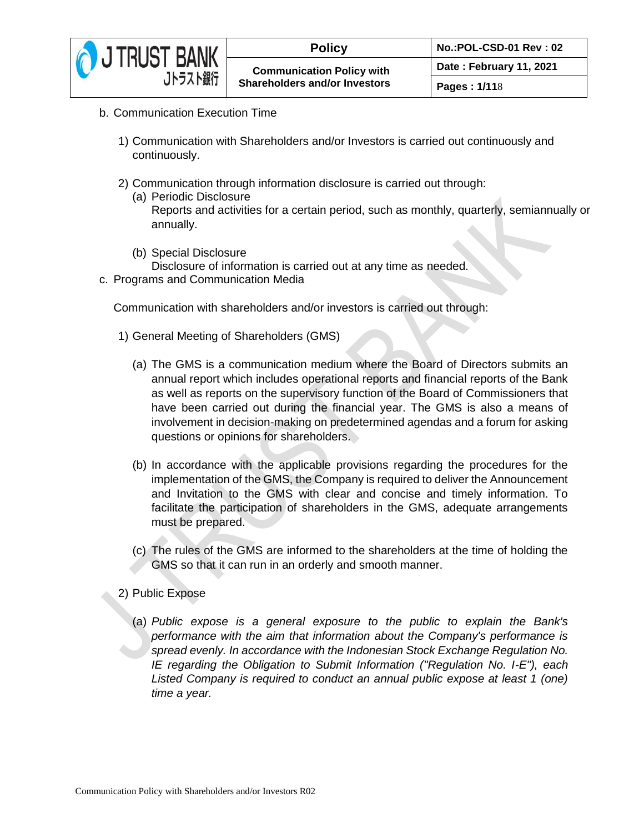

- b. Communication Execution Time
	- 1) Communication with Shareholders and/or Investors is carried out continuously and continuously.
	- 2) Communication through information disclosure is carried out through:
		- (a) Periodic Disclosure Reports and activities for a certain period, such as monthly, quarterly, semiannually or annually.
		- (b) Special Disclosure Disclosure of information is carried out at any time as needed.
- c. Programs and Communication Media

Communication with shareholders and/or investors is carried out through:

- 1) General Meeting of Shareholders (GMS)
	- (a) The GMS is a communication medium where the Board of Directors submits an annual report which includes operational reports and financial reports of the Bank as well as reports on the supervisory function of the Board of Commissioners that have been carried out during the financial year. The GMS is also a means of involvement in decision-making on predetermined agendas and a forum for asking questions or opinions for shareholders.
	- (b) In accordance with the applicable provisions regarding the procedures for the implementation of the GMS, the Company is required to deliver the Announcement and Invitation to the GMS with clear and concise and timely information. To facilitate the participation of shareholders in the GMS, adequate arrangements must be prepared.
	- (c) The rules of the GMS are informed to the shareholders at the time of holding the GMS so that it can run in an orderly and smooth manner.
- 2) Public Expose
	- (a) *Public expose is a general exposure to the public to explain the Bank's performance with the aim that information about the Company's performance is spread evenly. In accordance with the Indonesian Stock Exchange Regulation No. IE regarding the Obligation to Submit Information ("Regulation No. I-E"), each Listed Company is required to conduct an annual public expose at least 1 (one) time a year.*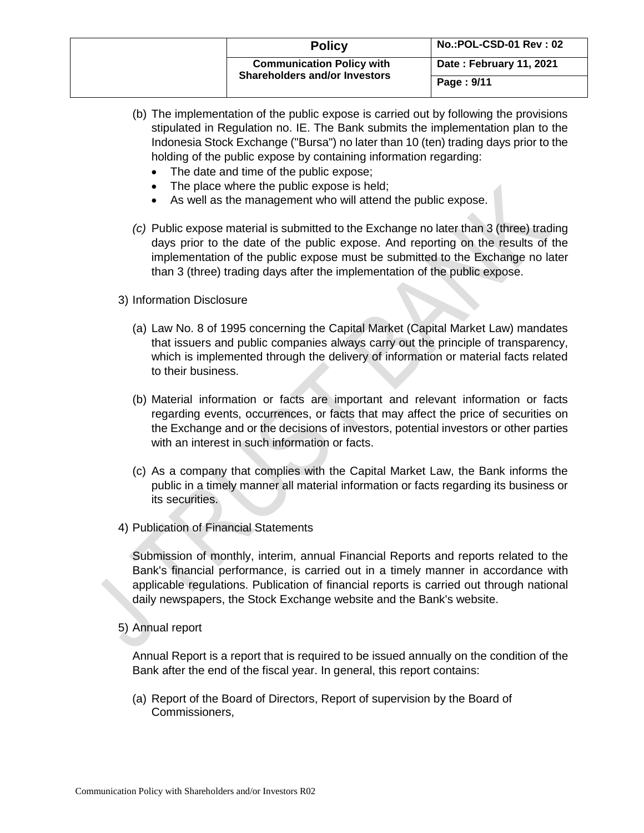|  | <b>Policy</b>                                                            | No.:POL-CSD-01 Rev: 02  |
|--|--------------------------------------------------------------------------|-------------------------|
|  | <b>Communication Policy with</b><br><b>Shareholders and/or Investors</b> | Date: February 11, 2021 |
|  |                                                                          | Page: 9/11              |

- (b) The implementation of the public expose is carried out by following the provisions stipulated in Regulation no. IE. The Bank submits the implementation plan to the Indonesia Stock Exchange ("Bursa") no later than 10 (ten) trading days prior to the holding of the public expose by containing information regarding:
	- The date and time of the public expose;
	- The place where the public expose is held;
	- As well as the management who will attend the public expose.
- *(c)* Public expose material is submitted to the Exchange no later than 3 (three) trading days prior to the date of the public expose. And reporting on the results of the implementation of the public expose must be submitted to the Exchange no later than 3 (three) trading days after the implementation of the public expose.
- 3) Information Disclosure
	- (a) Law No. 8 of 1995 concerning the Capital Market (Capital Market Law) mandates that issuers and public companies always carry out the principle of transparency, which is implemented through the delivery of information or material facts related to their business.
	- (b) Material information or facts are important and relevant information or facts regarding events, occurrences, or facts that may affect the price of securities on the Exchange and or the decisions of investors, potential investors or other parties with an interest in such information or facts.
	- (c) As a company that complies with the Capital Market Law, the Bank informs the public in a timely manner all material information or facts regarding its business or its securities.
- 4) Publication of Financial Statements

Submission of monthly, interim, annual Financial Reports and reports related to the Bank's financial performance, is carried out in a timely manner in accordance with applicable regulations. Publication of financial reports is carried out through national daily newspapers, the Stock Exchange website and the Bank's website.

5) Annual report

Annual Report is a report that is required to be issued annually on the condition of the Bank after the end of the fiscal year. In general, this report contains:

(a) Report of the Board of Directors, Report of supervision by the Board of Commissioners,